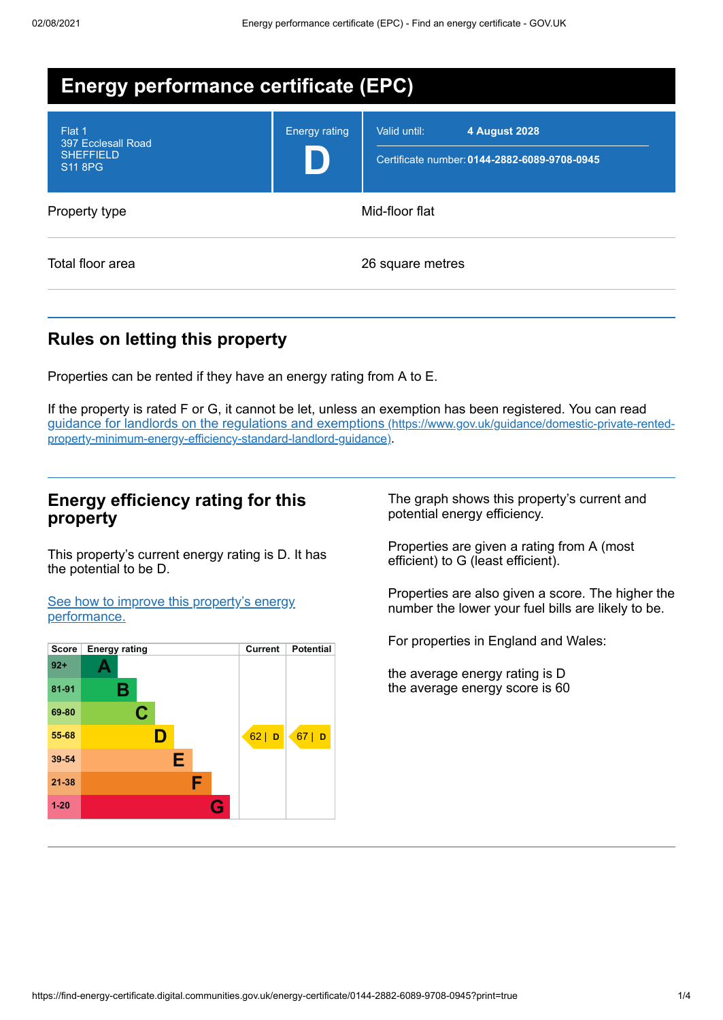| <b>Energy performance certificate (EPC)</b>                        |                      |                                                                                      |  |
|--------------------------------------------------------------------|----------------------|--------------------------------------------------------------------------------------|--|
| Flat 1<br>397 Ecclesall Road<br><b>SHEFFIELD</b><br><b>S11 8PG</b> | <b>Energy rating</b> | Valid until:<br><b>4 August 2028</b><br>Certificate number: 0144-2882-6089-9708-0945 |  |
| Property type                                                      | Mid-floor flat       |                                                                                      |  |
| Total floor area                                                   |                      | 26 square metres                                                                     |  |

# **Rules on letting this property**

Properties can be rented if they have an energy rating from A to E.

If the property is rated F or G, it cannot be let, unless an exemption has been registered. You can read guidance for landlords on the regulations and exemptions (https://www.gov.uk/guidance/domestic-private-rented[property-minimum-energy-efficiency-standard-landlord-guidance\)](https://www.gov.uk/guidance/domestic-private-rented-property-minimum-energy-efficiency-standard-landlord-guidance).

### **Energy efficiency rating for this property**

This property's current energy rating is D. It has the potential to be D.

See how to improve this property's energy [performance.](#page-2-0)



The graph shows this property's current and potential energy efficiency.

Properties are given a rating from A (most efficient) to G (least efficient).

Properties are also given a score. The higher the number the lower your fuel bills are likely to be.

For properties in England and Wales:

the average energy rating is D the average energy score is 60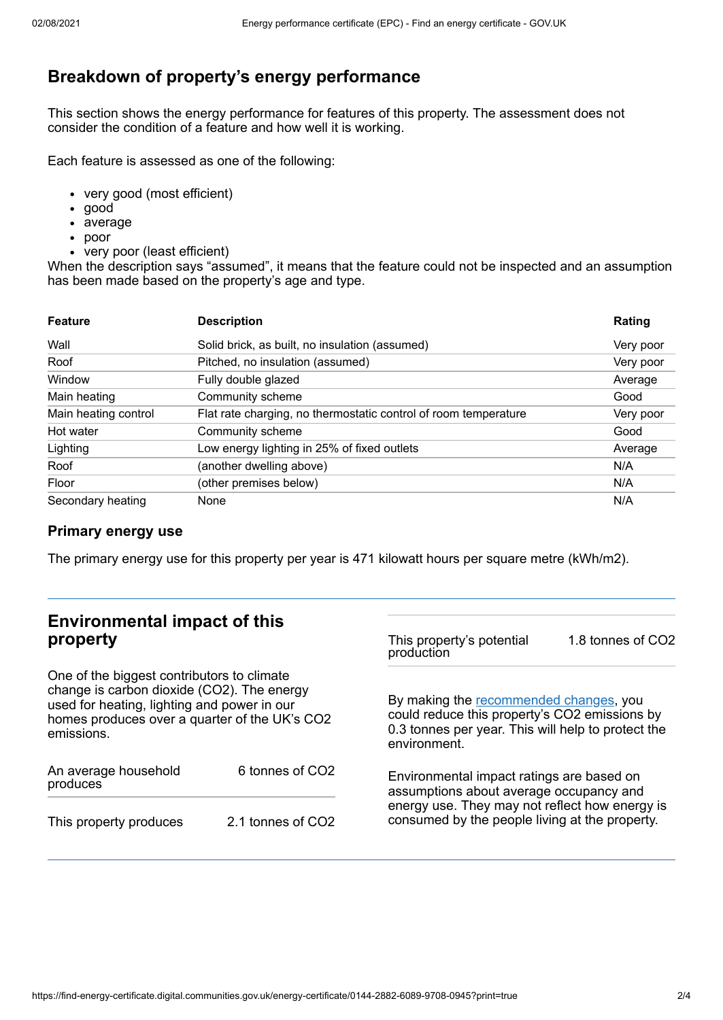# **Breakdown of property's energy performance**

This section shows the energy performance for features of this property. The assessment does not consider the condition of a feature and how well it is working.

Each feature is assessed as one of the following:

- very good (most efficient)
- good
- average
- poor
- very poor (least efficient)

When the description says "assumed", it means that the feature could not be inspected and an assumption has been made based on the property's age and type.

| <b>Feature</b>       | <b>Description</b>                                              | Rating    |
|----------------------|-----------------------------------------------------------------|-----------|
| Wall                 | Solid brick, as built, no insulation (assumed)                  | Very poor |
| Roof                 | Pitched, no insulation (assumed)                                | Very poor |
| Window               | Fully double glazed                                             | Average   |
| Main heating         | Community scheme                                                | Good      |
| Main heating control | Flat rate charging, no thermostatic control of room temperature | Very poor |
| Hot water            | Community scheme                                                | Good      |
| Lighting             | Low energy lighting in 25% of fixed outlets                     | Average   |
| Roof                 | (another dwelling above)                                        | N/A       |
| Floor                | (other premises below)                                          | N/A       |
| Secondary heating    | None                                                            | N/A       |

### **Primary energy use**

The primary energy use for this property per year is 471 kilowatt hours per square metre (kWh/m2).

#### **Environmental impact of this property** One of the biggest contributors to climate change is carbon dioxide (CO2). The energy used for heating, lighting and power in our homes produces over a quarter of the UK's CO2 emissions. production environment.

| An average household<br>produces | 6 tonnes of CO <sub>2</sub> |  |
|----------------------------------|-----------------------------|--|
| This property produces           | 2.1 tonnes of CO2           |  |

This property's potential 1.8 tonnes of CO2

By making the [recommended](#page-2-0) changes, you could reduce this property's CO2 emissions by 0.3 tonnes per year. This will help to protect the

Environmental impact ratings are based on assumptions about average occupancy and energy use. They may not reflect how energy is consumed by the people living at the property.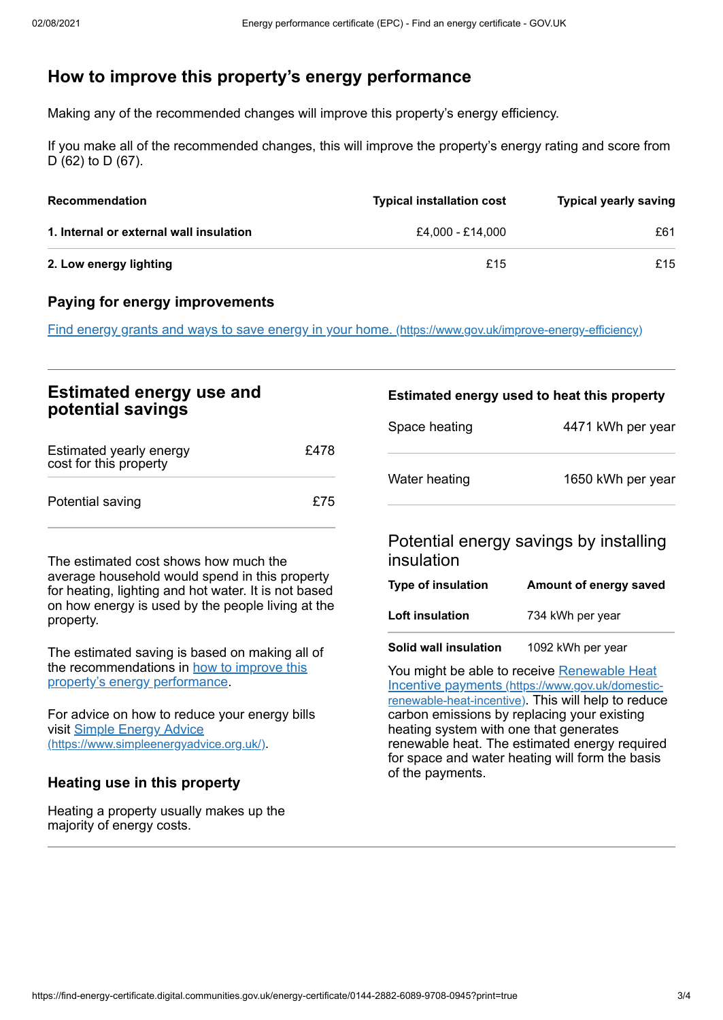# <span id="page-2-0"></span>**How to improve this property's energy performance**

Making any of the recommended changes will improve this property's energy efficiency.

If you make all of the recommended changes, this will improve the property's energy rating and score from D (62) to D (67).

| <b>Recommendation</b>                   | <b>Typical installation cost</b> | <b>Typical yearly saving</b> |
|-----------------------------------------|----------------------------------|------------------------------|
| 1. Internal or external wall insulation | £4.000 - £14.000                 | £61                          |
| 2. Low energy lighting                  | £15                              | £15                          |

### **Paying for energy improvements**

Find energy grants and ways to save energy in your home. [\(https://www.gov.uk/improve-energy-efficiency\)](https://www.gov.uk/improve-energy-efficiency)

| <b>Estimated energy use and</b>                   |      | Estimated energy used to heat this property |                   |
|---------------------------------------------------|------|---------------------------------------------|-------------------|
| potential savings                                 |      | Space heating                               | 4471 kWh per year |
| Estimated yearly energy<br>cost for this property | £478 |                                             |                   |
| Potential saving                                  | £75  | Water heating                               | 1650 kWh per year |
|                                                   |      |                                             |                   |

The estimated cost shows how much the average household would spend in this property for heating, lighting and hot water. It is not based on how energy is used by the people living at the property.

The estimated saving is based on making all of the [recommendations](#page-2-0) in how to improve this property's energy performance.

For advice on how to reduce your energy bills visit Simple Energy Advice [\(https://www.simpleenergyadvice.org.uk/\)](https://www.simpleenergyadvice.org.uk/).

### **Heating use in this property**

Heating a property usually makes up the majority of energy costs.

## Potential energy savings by installing insulation

| Type of insulation | Amount of energy saved |
|--------------------|------------------------|
| Loft insulation    | 734 kWh per year       |
|                    |                        |

**Solid wall insulation** 1092 kWh per year

You might be able to receive Renewable Heat Incentive payments [\(https://www.gov.uk/domestic](https://www.gov.uk/domestic-renewable-heat-incentive)renewable-heat-incentive). This will help to reduce carbon emissions by replacing your existing heating system with one that generates renewable heat. The estimated energy required for space and water heating will form the basis of the payments.